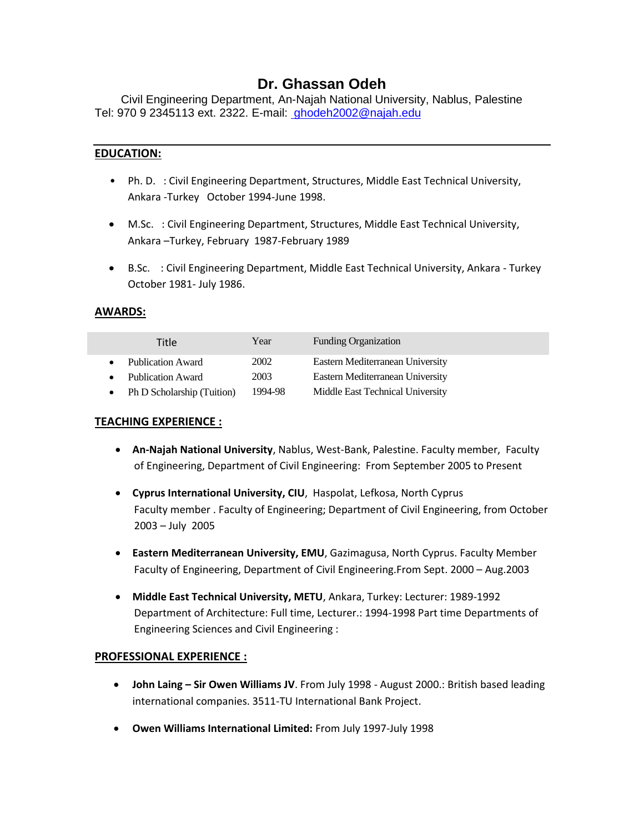# **Dr. Ghassan Odeh**

Civil Engineering Department, An-Najah National University, Nablus, Palestine Tel: 970 9 2345113 ext. 2322. E-mail: [ghodeh2002@najah.edu](mailto:%20ghodeh2002@najah.edu)

#### **EDUCATION:**

- Ph. D. : Civil Engineering Department, Structures, Middle East Technical University, Ankara -Turkey October 1994-June 1998.
- M.Sc. : Civil Engineering Department, Structures, Middle East Technical University, Ankara –Turkey, February 1987-February 1989
- B.Sc. : Civil Engineering Department, Middle East Technical University, Ankara Turkey October 1981- July 1986.

### **AWARDS:**

| Year    | <b>Funding Organization</b>      |
|---------|----------------------------------|
| 2002    | Eastern Mediterranean University |
| 2003    | Eastern Mediterranean University |
| 1994-98 | Middle East Technical University |
|         |                                  |

#### **TEACHING EXPERIENCE :**

- **An-Najah National University**, Nablus, West-Bank, Palestine. Faculty member, Faculty of Engineering, Department of Civil Engineering: From September 2005 to Present
- **Cyprus International University, CIU**, Haspolat, Lefkosa, North Cyprus Faculty member . Faculty of Engineering; Department of Civil Engineering, from October 2003 – July 2005
- **Eastern Mediterranean University, EMU**, Gazimagusa, North Cyprus. Faculty Member Faculty of Engineering, Department of Civil Engineering.From Sept. 2000 – Aug.2003
- **Middle East Technical University, METU**, Ankara, Turkey: Lecturer: 1989-1992 Department of Architecture: Full time, Lecturer.: 1994-1998 Part time Departments of Engineering Sciences and Civil Engineering :

#### **PROFESSIONAL EXPERIENCE :**

- **John Laing – Sir Owen Williams JV**. From July 1998 August 2000.: British based leading international companies. 3511-TU International Bank Project.
- **Owen Williams International Limited:** From July 1997-July 1998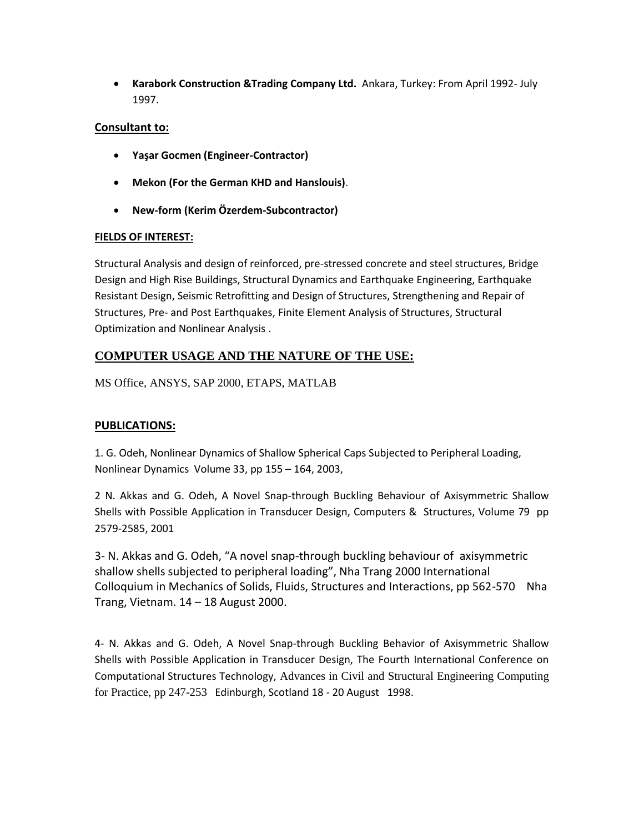**Karabork Construction &Trading Company Ltd.** Ankara, Turkey: From April 1992- July 1997.

## **Consultant to:**

- **Yaşar Gocmen (Engineer-Contractor)**
- **Mekon (For the German KHD and Hanslouis)**.
- **New-form (Kerim Özerdem-Subcontractor)**

### **FIELDS OF INTEREST:**

Structural Analysis and design of reinforced, pre-stressed concrete and steel structures, Bridge Design and High Rise Buildings, Structural Dynamics and Earthquake Engineering, Earthquake Resistant Design, Seismic Retrofitting and Design of Structures, Strengthening and Repair of Structures, Pre- and Post Earthquakes, Finite Element Analysis of Structures, Structural Optimization and Nonlinear Analysis .

## **COMPUTER USAGE AND THE NATURE OF THE USE:**

MS Office, ANSYS, SAP 2000, ETAPS, MATLAB

## **PUBLICATIONS:**

1. G. Odeh, Nonlinear Dynamics of Shallow Spherical Caps Subjected to Peripheral Loading, Nonlinear Dynamics Volume 33, pp 155 – 164, 2003,

2 N. Akkas and G. Odeh, A Novel Snap-through Buckling Behaviour of Axisymmetric Shallow Shells with Possible Application in Transducer Design, Computers & Structures, Volume 79 pp 2579-2585, 2001

3- N. Akkas and G. Odeh, "A novel snap-through buckling behaviour of axisymmetric shallow shells subjected to peripheral loading", Nha Trang 2000 International Colloquium in Mechanics of Solids, Fluids, Structures and Interactions, pp 562-570 Nha Trang, Vietnam. 14 – 18 August 2000.

4- N. Akkas and G. Odeh, A Novel Snap-through Buckling Behavior of Axisymmetric Shallow Shells with Possible Application in Transducer Design, The Fourth International Conference on Computational Structures Technology, Advances in Civil and Structural Engineering Computing for Practice, pp 247-253 Edinburgh, Scotland 18 - 20 August 1998.